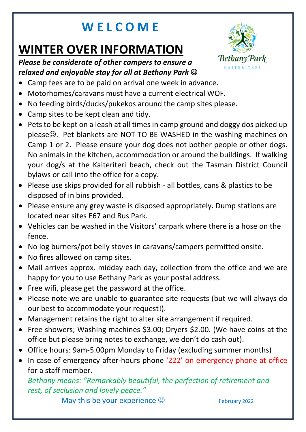## **W E L C O M E**

# **WINTER OVER INFORMATION**





- Camp fees are to be paid on arrival one week in advance.
- Motorhomes/caravans must have a current electrical WOF.
- No feeding birds/ducks/pukekos around the camp sites please.
- Camp sites to be kept clean and tidy.
- Pets to be kept on a leash at all times in camp ground and doggy dos picked up please $\odot$ . Pet blankets are NOT TO BE WASHED in the washing machines on Camp 1 or 2. Please ensure your dog does not bother people or other dogs. No animals in the kitchen, accommodation or around the buildings. If walking your dog/s at the Kaiteriteri beach, check out the Tasman District Council bylaws or call into the office for a copy.
- Please use skips provided for all rubbish all bottles, cans & plastics to be disposed of in bins provided.
- Please ensure any grey waste is disposed appropriately. Dump stations are located near sites E67 and Bus Park.
- Vehicles can be washed in the Visitors' carpark where there is a hose on the fence.
- No log burners/pot belly stoves in caravans/campers permitted onsite.
- No fires allowed on camp sites.
- Mail arrives approx. midday each day, collection from the office and we are happy for you to use Bethany Park as your postal address.
- Free wifi, please get the password at the office.
- Please note we are unable to guarantee site requests (but we will always do our best to accommodate your request!).
- Management retains the right to alter site arrangement if required.
- Free showers; Washing machines \$3.00; Dryers \$2.00. (We have coins at the office but please bring notes to exchange, we don't do cash out).
- Office hours: 9am-5.00pm Monday to Friday (excluding summer months)
- In case of emergency after-hours phone '222' on emergency phone at office for a staff member.

*Bethany means: "Remarkably beautiful, the perfection of retirement and rest, of seclusion and lovely peace."*

May this be your experience  $\odot$  February 2022